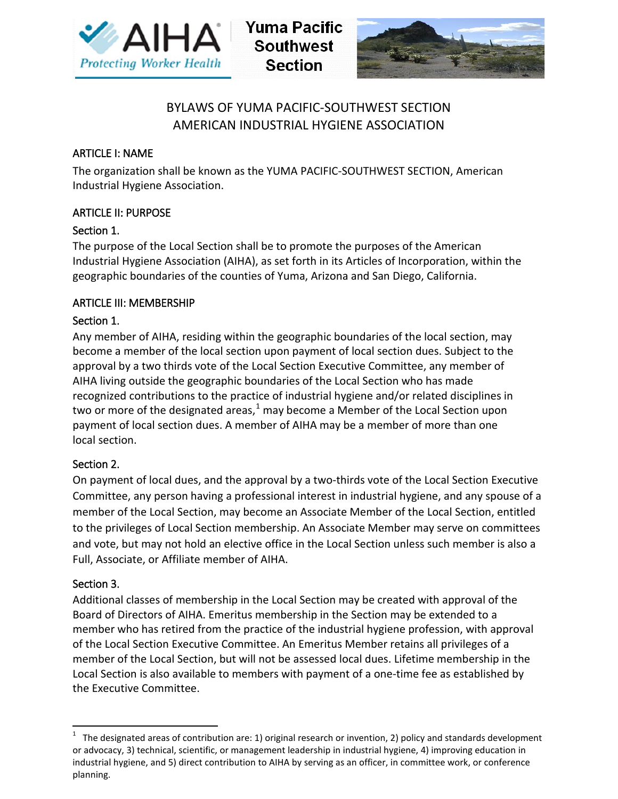

**Yuma Pacific Southwest Section** 



# BYLAWS OF YUMA PACIFIC-SOUTHWEST SECTION AMERICAN INDUSTRIAL HYGIENE ASSOCIATION

# ARTICLE I: NAME

The organization shall be known as the YUMA PACIFIC-SOUTHWEST SECTION, American Industrial Hygiene Association.

# ARTICLE II: PURPOSE

# Section 1.

The purpose of the Local Section shall be to promote the purposes of the American Industrial Hygiene Association (AIHA), as set forth in its Articles of Incorporation, within the geographic boundaries of the counties of Yuma, Arizona and San Diego, California.

# ARTICLE III: MEMBERSHIP

# Section 1.

Any member of AIHA, residing within the geographic boundaries of the local section, may become a member of the local section upon payment of local section dues. Subject to the approval by a two thirds vote of the Local Section Executive Committee, any member of AIHA living outside the geographic boundaries of the Local Section who has made recognized contributions to the practice of industrial hygiene and/or related disciplines in two or more of the designated areas, $^1$  $^1$  may become a Member of the Local Section upon payment of local section dues. A member of AIHA may be a member of more than one local section.

# Section 2.

On payment of local dues, and the approval by a two-thirds vote of the Local Section Executive Committee, any person having a professional interest in industrial hygiene, and any spouse of a member of the Local Section, may become an Associate Member of the Local Section, entitled to the privileges of Local Section membership. An Associate Member may serve on committees and vote, but may not hold an elective office in the Local Section unless such member is also a Full, Associate, or Affiliate member of AIHA.

# Section 3.

Additional classes of membership in the Local Section may be created with approval of the Board of Directors of AIHA. Emeritus membership in the Section may be extended to a member who has retired from the practice of the industrial hygiene profession, with approval of the Local Section Executive Committee. An Emeritus Member retains all privileges of a member of the Local Section, but will not be assessed local dues. Lifetime membership in the Local Section is also available to members with payment of a one-time fee as established by the Executive Committee.

<span id="page-0-0"></span> $1$  The designated areas of contribution are: 1) original research or invention, 2) policy and standards development or advocacy, 3) technical, scientific, or management leadership in industrial hygiene, 4) improving education in industrial hygiene, and 5) direct contribution to AIHA by serving as an officer, in committee work, or conference planning.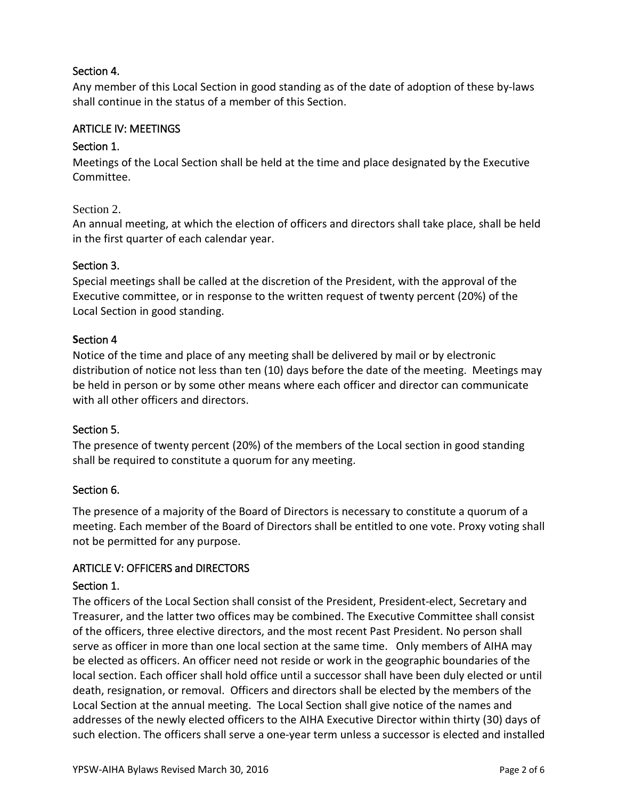# Section 4.

Any member of this Local Section in good standing as of the date of adoption of these by-laws shall continue in the status of a member of this Section.

# ARTICLE IV: MEETINGS

# Section 1.

Meetings of the Local Section shall be held at the time and place designated by the Executive Committee.

# Section 2.

An annual meeting, at which the election of officers and directors shall take place, shall be held in the first quarter of each calendar year.

### Section 3.

Special meetings shall be called at the discretion of the President, with the approval of the Executive committee, or in response to the written request of twenty percent (20%) of the Local Section in good standing.

### **S**ection 4

Notice of the time and place of any meeting shall be delivered by mail or by electronic distribution of notice not less than ten (10) days before the date of the meeting. Meetings may be held in person or by some other means where each officer and director can communicate with all other officers and directors.

# Section 5.

The presence of twenty percent (20%) of the members of the Local section in good standing shall be required to constitute a quorum for any meeting.

# Section 6.

The presence of a majority of the Board of Directors is necessary to constitute a quorum of a meeting. Each member of the Board of Directors shall be entitled to one vote. Proxy voting shall not be permitted for any purpose.

# ARTICLE V: OFFICERS and DIRECTORS

# Section 1.

The officers of the Local Section shall consist of the President, President-elect, Secretary and Treasurer, and the latter two offices may be combined. The Executive Committee shall consist of the officers, three elective directors, and the most recent Past President. No person shall serve as officer in more than one local section at the same time. Only members of AIHA may be elected as officers. An officer need not reside or work in the geographic boundaries of the local section. Each officer shall hold office until a successor shall have been duly elected or until death, resignation, or removal. Officers and directors shall be elected by the members of the Local Section at the annual meeting. The Local Section shall give notice of the names and addresses of the newly elected officers to the AIHA Executive Director within thirty (30) days of such election. The officers shall serve a one-year term unless a successor is elected and installed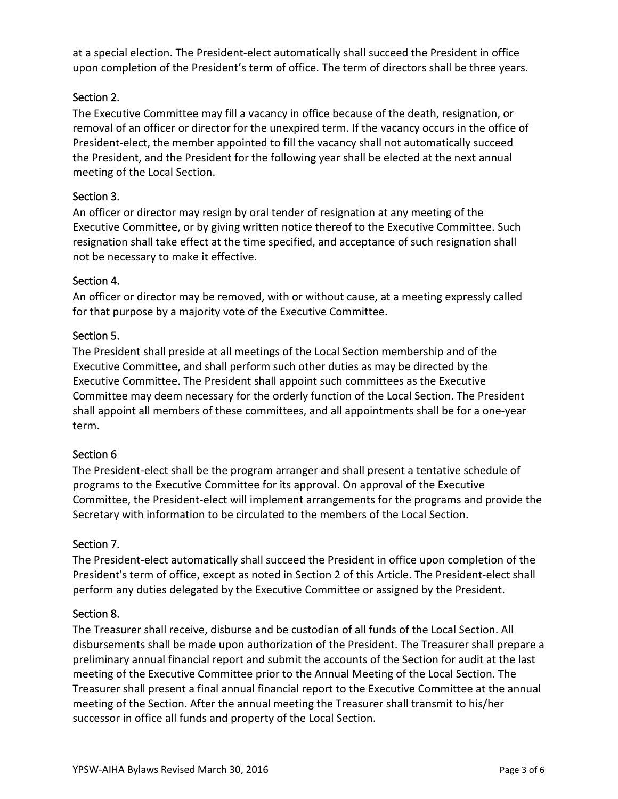at a special election. The President-elect automatically shall succeed the President in office upon completion of the President's term of office. The term of directors shall be three years.

# Section 2.

The Executive Committee may fill a vacancy in office because of the death, resignation, or removal of an officer or director for the unexpired term. If the vacancy occurs in the office of President-elect, the member appointed to fill the vacancy shall not automatically succeed the President, and the President for the following year shall be elected at the next annual meeting of the Local Section.

# Section 3.

An officer or director may resign by oral tender of resignation at any meeting of the Executive Committee, or by giving written notice thereof to the Executive Committee. Such resignation shall take effect at the time specified, and acceptance of such resignation shall not be necessary to make it effective.

# Section 4.

An officer or director may be removed, with or without cause, at a meeting expressly called for that purpose by a majority vote of the Executive Committee.

# Section 5.

The President shall preside at all meetings of the Local Section membership and of the Executive Committee, and shall perform such other duties as may be directed by the Executive Committee. The President shall appoint such committees as the Executive Committee may deem necessary for the orderly function of the Local Section. The President shall appoint all members of these committees, and all appointments shall be for a one-year term.

# Section 6

The President-elect shall be the program arranger and shall present a tentative schedule of programs to the Executive Committee for its approval. On approval of the Executive Committee, the President-elect will implement arrangements for the programs and provide the Secretary with information to be circulated to the members of the Local Section.

# Section 7.

The President-elect automatically shall succeed the President in office upon completion of the President's term of office, except as noted in Section 2 of this Article. The President-elect shall perform any duties delegated by the Executive Committee or assigned by the President.

# Section 8.

The Treasurer shall receive, disburse and be custodian of all funds of the Local Section. All disbursements shall be made upon authorization of the President. The Treasurer shall prepare a preliminary annual financial report and submit the accounts of the Section for audit at the last meeting of the Executive Committee prior to the Annual Meeting of the Local Section. The Treasurer shall present a final annual financial report to the Executive Committee at the annual meeting of the Section. After the annual meeting the Treasurer shall transmit to his/her successor in office all funds and property of the Local Section.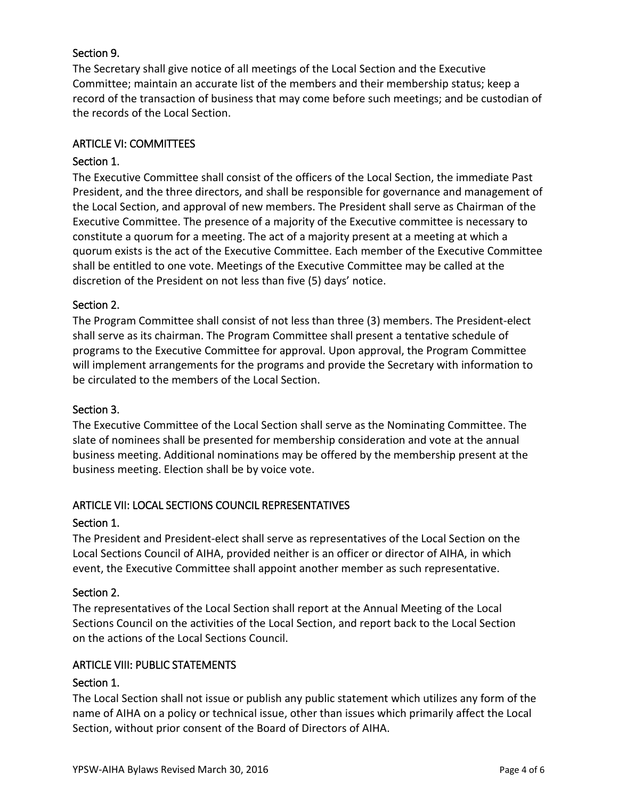# Section 9.

The Secretary shall give notice of all meetings of the Local Section and the Executive Committee; maintain an accurate list of the members and their membership status; keep a record of the transaction of business that may come before such meetings; and be custodian of the records of the Local Section.

## ARTICLE VI: COMMITTEES

## Section 1.

The Executive Committee shall consist of the officers of the Local Section, the immediate Past President, and the three directors, and shall be responsible for governance and management of the Local Section, and approval of new members. The President shall serve as Chairman of the Executive Committee. The presence of a majority of the Executive committee is necessary to constitute a quorum for a meeting. The act of a majority present at a meeting at which a quorum exists is the act of the Executive Committee. Each member of the Executive Committee shall be entitled to one vote. Meetings of the Executive Committee may be called at the discretion of the President on not less than five (5) days' notice.

#### Section 2.

The Program Committee shall consist of not less than three (3) members. The President-elect shall serve as its chairman. The Program Committee shall present a tentative schedule of programs to the Executive Committee for approval. Upon approval, the Program Committee will implement arrangements for the programs and provide the Secretary with information to be circulated to the members of the Local Section.

#### Section 3.

The Executive Committee of the Local Section shall serve as the Nominating Committee. The slate of nominees shall be presented for membership consideration and vote at the annual business meeting. Additional nominations may be offered by the membership present at the business meeting. Election shall be by voice vote.

# ARTICLE VII: LOCAL SECTIONS COUNCIL REPRESENTATIVES

#### Section 1.

The President and President-elect shall serve as representatives of the Local Section on the Local Sections Council of AIHA, provided neither is an officer or director of AIHA, in which event, the Executive Committee shall appoint another member as such representative.

# Section 2.

The representatives of the Local Section shall report at the Annual Meeting of the Local Sections Council on the activities of the Local Section, and report back to the Local Section on the actions of the Local Sections Council.

#### ARTICLE VIII: PUBLIC STATEMENTS

# Section 1.

The Local Section shall not issue or publish any public statement which utilizes any form of the name of AIHA on a policy or technical issue, other than issues which primarily affect the Local Section, without prior consent of the Board of Directors of AIHA.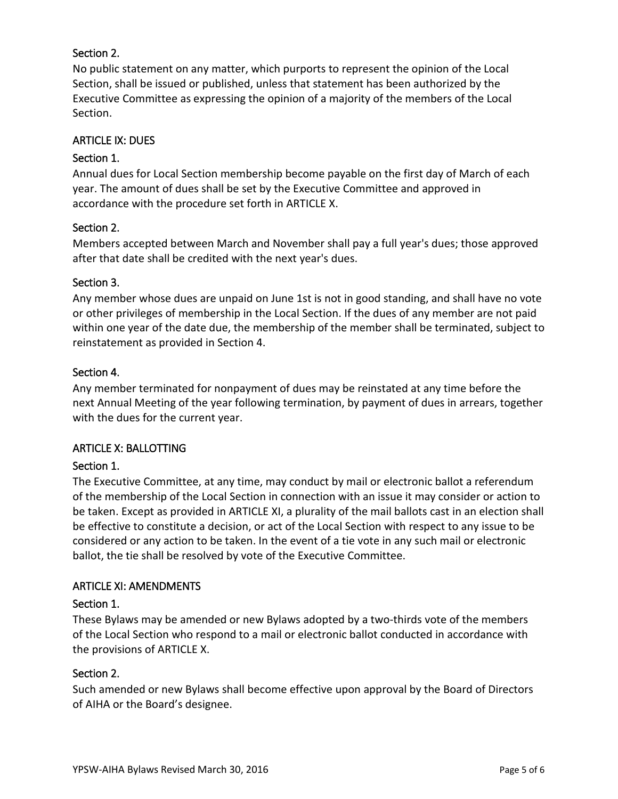# Section 2.

No public statement on any matter, which purports to represent the opinion of the Local Section, shall be issued or published, unless that statement has been authorized by the Executive Committee as expressing the opinion of a majority of the members of the Local Section.

### ARTICLE IX: DUES

## Section 1.

Annual dues for Local Section membership become payable on the first day of March of each year. The amount of dues shall be set by the Executive Committee and approved in accordance with the procedure set forth in ARTICLE X.

### Section 2.

Members accepted between March and November shall pay a full year's dues; those approved after that date shall be credited with the next year's dues.

### Section 3.

Any member whose dues are unpaid on June 1st is not in good standing, and shall have no vote or other privileges of membership in the Local Section. If the dues of any member are not paid within one year of the date due, the membership of the member shall be terminated, subject to reinstatement as provided in Section 4.

## Section 4.

Any member terminated for nonpayment of dues may be reinstated at any time before the next Annual Meeting of the year following termination, by payment of dues in arrears, together with the dues for the current year.

#### ARTICLE X: BALLOTTING

# Section 1.

The Executive Committee, at any time, may conduct by mail or electronic ballot a referendum of the membership of the Local Section in connection with an issue it may consider or action to be taken. Except as provided in ARTICLE XI, a plurality of the mail ballots cast in an election shall be effective to constitute a decision, or act of the Local Section with respect to any issue to be considered or any action to be taken. In the event of a tie vote in any such mail or electronic ballot, the tie shall be resolved by vote of the Executive Committee.

#### ARTICLE XI: AMENDMENTS

#### Section 1.

These Bylaws may be amended or new Bylaws adopted by a two-thirds vote of the members of the Local Section who respond to a mail or electronic ballot conducted in accordance with the provisions of ARTICLE X.

#### Section 2.

Such amended or new Bylaws shall become effective upon approval by the Board of Directors of AIHA or the Board's designee.